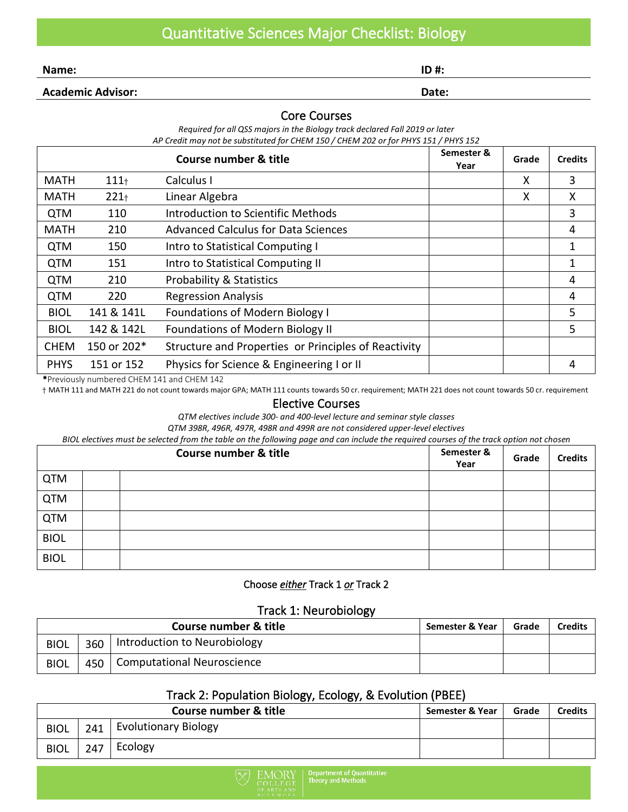**Name: ID #:**

**Academic Advisor: Date:**

#### Core Courses

*Required for all QSS majors in the Biology track declared Fall 2019 or later AP Credit may not be substituted for CHEM 150 / CHEM 202 or for PHYS 151 / PHYS 152*

|             |             | Semester &<br>Year                                   | Grade | <b>Credits</b> |   |
|-------------|-------------|------------------------------------------------------|-------|----------------|---|
| <b>MATH</b> | $111 +$     | Calculus I                                           |       | x              | 3 |
| <b>MATH</b> | $221 +$     | Linear Algebra                                       |       | X              | X |
| <b>QTM</b>  | 110         | Introduction to Scientific Methods                   |       |                | 3 |
| <b>MATH</b> | 210         | <b>Advanced Calculus for Data Sciences</b>           |       |                | 4 |
| <b>QTM</b>  | 150         | Intro to Statistical Computing I                     |       |                | 1 |
| <b>QTM</b>  | 151         | Intro to Statistical Computing II                    |       |                | 1 |
| <b>QTM</b>  | 210         | <b>Probability &amp; Statistics</b>                  |       |                | 4 |
| <b>QTM</b>  | 220         | <b>Regression Analysis</b>                           |       |                | 4 |
| <b>BIOL</b> | 141 & 141L  | <b>Foundations of Modern Biology I</b>               |       |                | 5 |
| <b>BIOL</b> | 142 & 142L  | <b>Foundations of Modern Biology II</b>              |       |                | 5 |
| <b>CHEM</b> | 150 or 202* | Structure and Properties or Principles of Reactivity |       |                |   |
| <b>PHYS</b> | 151 or 152  | Physics for Science & Engineering I or II            |       |                | 4 |

\*Previously numbered CHEM 141 and CHEM 142

† MATH 111 and MATH 221 do not count towards major GPA; MATH 111 counts towards 50 cr. requirement; MATH 221 does not count towards 50 cr. requirement

#### Elective Courses

*QTM electives include 300- and 400-level lecture and seminar style classes*

*QTM 398R, 496R, 497R, 498R and 499R are not considered upper-level electives*

*BIOL electives must be selected from the table on the following page and can include the required courses of the track option not chosen*

| Course number & title |  |  | Semester &<br>Year | Grade | <b>Credits</b> |
|-----------------------|--|--|--------------------|-------|----------------|
| <b>QTM</b>            |  |  |                    |       |                |
| <b>QTM</b>            |  |  |                    |       |                |
| <b>QTM</b>            |  |  |                    |       |                |
| <b>BIOL</b>           |  |  |                    |       |                |
| <b>BIOL</b>           |  |  |                    |       |                |

#### Choose *either* Track 1 *or* Track 2

### Track 1: Neurobiology

| Course number & title |     |                                   | Semester & Year | Grade | Credits |
|-----------------------|-----|-----------------------------------|-----------------|-------|---------|
| <b>BIOL</b>           | 360 | Introduction to Neurobiology      |                 |       |         |
| <b>BIOL</b>           | 450 | <b>Computational Neuroscience</b> |                 |       |         |

### Track 2: Population Biology, Ecology, & Evolution (PBEE)

| Course number & title |     |                             | Semester & Year | Grade | Credits |
|-----------------------|-----|-----------------------------|-----------------|-------|---------|
| <b>BIOL</b>           | 241 | <b>Evolutionary Biology</b> |                 |       |         |
| <b>BIOL</b>           | 247 | Ecology                     |                 |       |         |